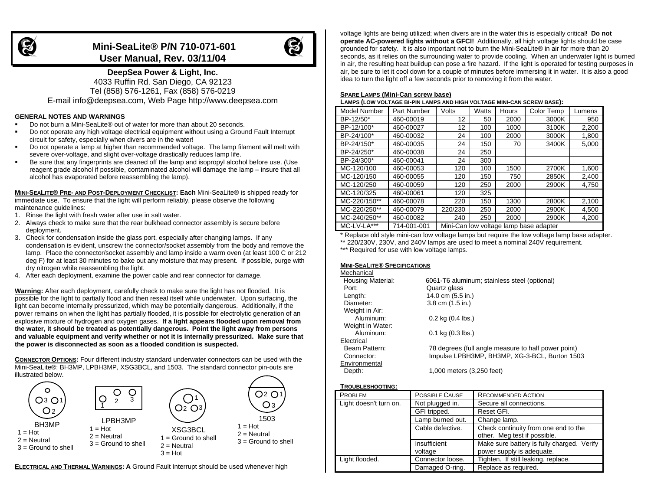

# **Mini-SeaLite® P/N 710-071-601 User Manual, Rev. 03/11/04**



# **DeepSea Power & Light, Inc.** 4033 Ruffin Rd. San Diego, CA 92123

Tel (858) 576-1261, Fax (858) 576-0219 E-mail info@deepsea.com, Web Page http://www.deepsea.com

# **GENERAL NOTES AND WARNINGS**

- Do not burn a Mini-SeaLite® out of water for more than about 20 seconds.
- Do not operate any high voltage electrical equipment without using a Ground Fault Interrupt circuit for safety, especially when divers are in the water!
- Do not operate a lamp at higher than recommended voltage. The lamp filament will melt with severe over-voltage, and slight over-voltage drastically reduces lamp life.
- Be sure that any fingerprints are cleaned off the lamp and isopropyl alcohol before use. (Use reagent grade alcohol if possible, contaminated alcohol will damage the lamp – insure that all alcohol has evaporated before reassembling the lamp).

**MINI-SEALITE ® PRE- AND POST-DEPLOYMENT CHECKLIST: Each** Mini-SeaLite® is shipped ready for immediate use. To ensure that the light will perform reliably, please observe the following maintenance guidelines:

- 1. Rinse the light with fresh water after use in salt water.
- 2. Always check to make sure that the rear bulkhead connector assembly is secure before deployment.
- 3. Check for condensation inside the glass port, especially after changing lamps. If any condensation is evident, unscrew the connector/socket assembly from the body and remove the lamp. Place the connector/socket assembly and lamp inside a warm oven (at least 100 C or 212 deg F) for at least 30 minutes to bake out any moisture that may present. If possible, purge with dry nitrogen while reassembling the light.
- 4. After each deployment, examine the power cable and rear connector for damage.

**Warning:** After each deployment, carefully check to make sure the light has not flooded. It is possible for the light to partially flood and then reseal itself while underwater. Upon surfacing, the light can become internally pressurized, which may be potentially dangerous. Additionally, if the power remains on when the light has partially flooded, it is possible for electrolytic generation of an explosive mixture of hydrogen and oxygen gases. **If a light appears flooded upon removal from the water, it should be treated as potentially dangerous. Point the light away from persons and valuable equipment and verify whether or not it is internally pressurized. Make sure that the power is disconnected as soon as a flooded condition is suspected.**

**CONNECTOR OPTIONS:** Four different industry standard underwater connectors can be used with the Mini-SeaLite®: BH3MP, LPBH3MP, XSG3BCL, and 1503. The standard connector pin-outs are illustrated below.



**ELECTRICAL AND THERMAL WARNINGS: A** Ground Fault Interrupt should be used whenever high

voltage lights are being utilized; when divers are in the water this is especially critical! **Do not operate AC-powered lights without a GFCI!** Additionally, all high voltage lights should be case grounded for safety. It is also important not to burn the Mini-SeaLite® in air for more than 20 seconds, as it relies on the surrounding water to provide cooling. When an underwater light is burned in air, the resulting heat buildup can pose a fire hazard. If the light is operated for testing purposes in air, be sure to let it cool down for a couple of minutes before immersing it in water. It is also a good idea to turn the light off a few seconds prior to removing it from the water.

#### **SPARE LAMPS (Mini-Can screw base)**

**LAMPS (LOW VOLTAGE BI-PIN LAMPS AND HIGH VOLTAGE MINI-CAN SCREW BASE):**

| <b>Model Number</b> | Part Number | Volts   | Watts | Hours | Color Temp                             | Lumens |
|---------------------|-------------|---------|-------|-------|----------------------------------------|--------|
| BP-12/50*           | 460-00019   | 12      | 50    | 2000  | 3000K                                  | 950    |
| BP-12/100*          | 460-00027   | 12      | 100   | 1000  | 3100K                                  | 2,200  |
| BP-24/100*          | 460-00032   | 24      | 100   | 2000  | 3000K                                  | 1,800  |
| BP-24/150*          | 460-00035   | 24      | 150   | 70    | 3400K                                  | 5,000  |
| BP-24/250*          | 460-00038   | 24      | 250   |       |                                        |        |
| BP-24/300*          | 460-00041   | 24      | 300   |       |                                        |        |
| MC-120/100          | 460-00053   | 120     | 100   | 1500  | 2700K                                  | 1,600  |
| MC-120/150          | 460-00055   | 120     | 150   | 750   | 2850K                                  | 2,400  |
| MC-120/250          | 460-00059   | 120     | 250   | 2000  | 2900K                                  | 4.750  |
| MC-120/325          | 460-00061   | 120     | 325   |       |                                        |        |
| MC-220/150**        | 460-00078   | 220     | 150   | 1300  | 2800K                                  | 2,100  |
| MC-220/250**        | 460-00079   | 220/230 | 250   | 2000  | 2900K                                  | 4,500  |
| MC-240/250**        | 460-00082   | 240     | 250   | 2000  | 2900K                                  | 4,200  |
| MC-LV-LA***         | 714-001-001 |         |       |       | Mini-Can low voltage lamp base adapter |        |

\* Replace old style mini-can low voltage lamps but require the low voltage lamp base adapter.

\*\* 220/230V, 230V, and 240V lamps are used to meet a nominal 240V requirement.

\*\*\* Required for use with low voltage lamps.

### **MINI-SEALITE ® SPECIFICATIONS**

| Mechanical               |                                                     |
|--------------------------|-----------------------------------------------------|
| <b>Housing Material:</b> | 6061-T6 aluminum; stainless steel (optional)        |
| Port:                    | Quartz glass                                        |
| Length:                  | 14.0 cm (5.5 in.)                                   |
| Diameter:                | 3.8 cm (1.5 in.)                                    |
| Weight in Air:           |                                                     |
| Aluminum:                | $0.2$ kg $(0.4$ lbs.)                               |
| Weight in Water:         |                                                     |
| Aluminum:                | $0.1$ kg $(0.3$ lbs.)                               |
| Electrical               |                                                     |
| Beam Pattern:            | 78 degrees (full angle measure to half power point) |
| Connector:               | Impulse LPBH3MP, BH3MP, XG-3-BCL, Burton 1503       |
| Environmental            |                                                     |
|                          |                                                     |

Depth: 1,000 meters (3,250 feet)

#### **TROUBLESHOOTING:**

| <b>PROBLEM</b>         | <b>POSSIBLE CAUSE</b> | <b>RECOMMENDED ACTION</b>                  |
|------------------------|-----------------------|--------------------------------------------|
| Light doesn't turn on. | Not plugged in.       | Secure all connections.                    |
|                        | GFI tripped.          | Reset GFI.                                 |
|                        | Lamp burned out.      | Change lamp.                               |
|                        | Cable defective.      | Check continuity from one end to the       |
|                        |                       | other. Meg test if possible.               |
|                        | Insufficient          | Make sure battery is fully charged. Verify |
|                        | voltage               | power supply is adequate.                  |
| Light flooded.         | Connector loose.      | Tighten. If still leaking, replace.        |
|                        | Damaged O-ring.       | Replace as required.                       |